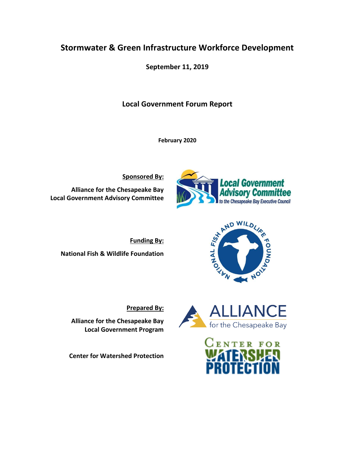# **Stormwater & Green Infrastructure Workforce Development**

**September 11, 2019**

# **Local Government Forum Report**

**February 2020**

**Sponsored By:**

**Alliance for the Chesapeake Bay Local Government Advisory Committee**



**Funding By: National Fish & Wildlife Foundation**



**PONNO3** 



**Prepared By:**

**Alliance for the Chesapeake Bay Local Government Program**

**Center for Watershed Protection**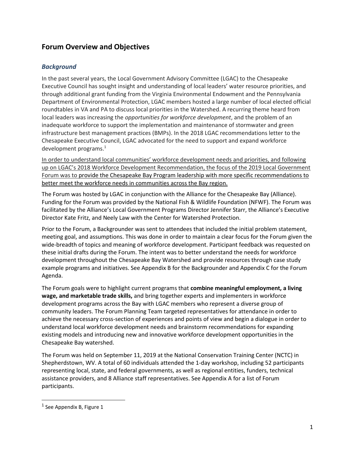# **Forum Overview and Objectives**

#### *Background*

In the past several years, the Local Government Advisory Committee (LGAC) to the Chesapeake Executive Council has sought insight and understanding of local leaders' water resource priorities, and through additional grant funding from the Virginia Environmental Endowment and the Pennsylvania Department of Environmental Protection, LGAC members hosted a large number of local elected official roundtables in VA and PA to discuss local priorities in the Watershed. A recurring theme heard from local leaders was increasing the *opportunities for workforce development*, and the problem of an inadequate workforce to support the implementation and maintenance of stormwater and green infrastructure best management practices (BMPs). In the 2018 LGAC recommendations letter to the Chesapeake Executive Council, LGAC advocated for the need to support and expand workforce development programs.<sup>1</sup>

In order to understand local communities' workforce development needs and priorities, and following up on LGAC's 2018 Workforce Development Recommendation, the focus of the 2019 Local Government Forum was to provide the Chesapeake Bay Program leadership with more specific recommendations to better meet the workforce needs in communities across the Bay region.

The Forum was hosted by LGAC in conjunction with the Alliance for the Chesapeake Bay (Alliance). Funding for the Forum was provided by the National Fish & Wildlife Foundation (NFWF). The Forum was facilitated by the Alliance's Local Government Programs Director Jennifer Starr, the Alliance's Executive Director Kate Fritz, and Neely Law with the Center for Watershed Protection.

Prior to the Forum, a Backgrounder was sent to attendees that included the initial problem statement, meeting goal, and assumptions. This was done in order to maintain a clear focus for the Forum given the wide-breadth of topics and meaning of workforce development. Participant feedback was requested on these initial drafts during the Forum. The intent was to better understand the needs for workforce development throughout the Chesapeake Bay Watershed and provide resources through case study example programs and initiatives. See Appendix B for the Backgrounder and Appendix C for the Forum Agenda.

The Forum goals were to highlight current programs that **combine meaningful employment, a living wage, and marketable trade skills,** and bring together experts and implementers in workforce development programs across the Bay with LGAC members who represent a diverse group of community leaders. The Forum Planning Team targeted representatives for attendance in order to achieve the necessary cross-section of experiences and points of view and begin a dialogue in order to understand local workforce development needs and brainstorm recommendations for expanding existing models and introducing new and innovative workforce development opportunities in the Chesapeake Bay watershed.

The Forum was held on September 11, 2019 at the National Conservation Training Center (NCTC) in Shepherdstown, WV. A total of 60 individuals attended the 1-day workshop, including 52 participants representing local, state, and federal governments, as well as regional entities, funders, technical assistance providers, and 8 Alliance staff representatives. See Appendix A for a list of Forum participants.

<sup>&</sup>lt;sup>1</sup> See Appendix B, Figure 1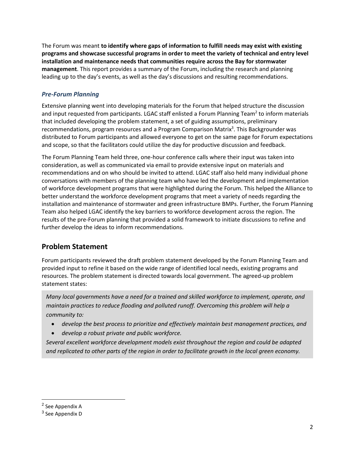The Forum was meant **to identify where gaps of information to fulfill needs may exist with existing programs and showcase successful programs in order to meet the variety of technical and entry level installation and maintenance needs that communities require across the Bay for stormwater management**. This report provides a summary of the Forum, including the research and planning leading up to the day's events, as well as the day's discussions and resulting recommendations.

#### *Pre-Forum Planning*

Extensive planning went into developing materials for the Forum that helped structure the discussion and input requested from participants. LGAC staff enlisted a Forum Planning Team<sup>2</sup> to inform materials that included developing the problem statement, a set of guiding assumptions, preliminary recommendations, program resources and a Program Comparison Matrix<sup>3</sup>. This Backgrounder was distributed to Forum participants and allowed everyone to get on the same page for Forum expectations and scope, so that the facilitators could utilize the day for productive discussion and feedback.

The Forum Planning Team held three, one-hour conference calls where their input was taken into consideration, as well as communicated via email to provide extensive input on materials and recommendations and on who should be invited to attend. LGAC staff also held many individual phone conversations with members of the planning team who have led the development and implementation of workforce development programs that were highlighted during the Forum. This helped the Alliance to better understand the workforce development programs that meet a variety of needs regarding the installation and maintenance of stormwater and green infrastructure BMPs. Further, the Forum Planning Team also helped LGAC identify the key barriers to workforce development across the region. The results of the pre-Forum planning that provided a solid framework to initiate discussions to refine and further develop the ideas to inform recommendations.

# **Problem Statement**

Forum participants reviewed the draft problem statement developed by the Forum Planning Team and provided input to refine it based on the wide range of identified local needs, existing programs and resources. The problem statement is directed towards local government. The agreed-up problem statement states:

*Many local governments have a need for a trained and skilled workforce to implement, operate, and maintain practices to reduce flooding and polluted runoff. Overcoming this problem will help a community to:*

- *develop the best process to prioritize and effectively maintain best management practices, and*
- *develop a robust private and public workforce.*

*Several excellent workforce development models exist throughout the region and could be adapted and replicated to other parts of the region in order to facilitate growth in the local green economy.*

<sup>&</sup>lt;sup>2</sup> See Appendix A

<sup>&</sup>lt;sup>3</sup> See Appendix D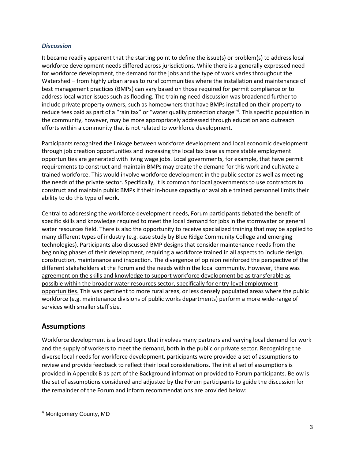#### *Discussion*

It became readily apparent that the starting point to define the issue(s) or problem(s) to address local workforce development needs differed across jurisdictions. While there is a generally expressed need for workforce development, the demand for the jobs and the type of work varies throughout the Watershed – from highly urban areas to rural communities where the installation and maintenance of best management practices (BMPs) can vary based on those required for permit compliance or to address local water issues such as flooding. The training need discussion was broadened further to include private property owners, such as homeowners that have BMPs installed on their property to reduce fees paid as part of a "rain tax" or "water quality protection charge"<sup>4</sup>. This specific population in the community, however, may be more appropriately addressed through education and outreach efforts within a community that is not related to workforce development.

Participants recognized the linkage between workforce development and local economic development through job creation opportunities and increasing the local tax base as more stable employment opportunities are generated with living wage jobs. Local governments, for example, that have permit requirements to construct and maintain BMPs may create the demand for this work and cultivate a trained workforce. This would involve workforce development in the public sector as well as meeting the needs of the private sector. Specifically, it is common for local governments to use contractors to construct and maintain public BMPs if their in-house capacity or available trained personnel limits their ability to do this type of work.

Central to addressing the workforce development needs, Forum participants debated the benefit of specific skills and knowledge required to meet the local demand for jobs in the stormwater or general water resources field. There is also the opportunity to receive specialized training that may be applied to many different types of industry (e.g. case study by Blue Ridge Community College and emerging technologies). Participants also discussed BMP designs that consider maintenance needs from the beginning phases of their development, requiring a workforce trained in all aspects to include design, construction, maintenance and inspection. The divergence of opinion reinforced the perspective of the different stakeholders at the Forum and the needs within the local community. However, there was agreement on the skills and knowledge to support workforce development be as transferable as possible within the broader water resources sector, specifically for entry-level employment opportunities. This was pertinent to more rural areas, or less densely populated areas where the public workforce (e.g. maintenance divisions of public works departments) perform a more wide-range of services with smaller staff size.

### **Assumptions**

Workforce development is a broad topic that involves many partners and varying local demand for work and the supply of workers to meet the demand, both in the public or private sector. Recognizing the diverse local needs for workforce development, participants were provided a set of assumptions to review and provide feedback to reflect their local considerations. The initial set of assumptions is provided in Appendix B as part of the Background information provided to Forum participants. Below is the set of assumptions considered and adjusted by the Forum participants to guide the discussion for the remainder of the Forum and inform recommendations are provided below:

<sup>&</sup>lt;sup>4</sup> Montgomery County, MD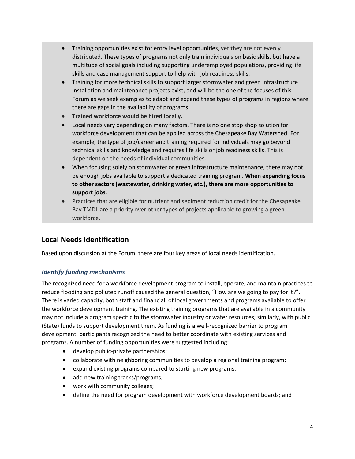- Training opportunities exist for entry level opportunities, yet they are not evenly distributed. These types of programs not only train individuals on basic skills, but have a multitude of social goals including supporting underemployed populations, providing life skills and case management support to help with job readiness skills.
- Training for more technical skills to support larger stormwater and green infrastructure installation and maintenance projects exist, and will be the one of the focuses of this Forum as we seek examples to adapt and expand these types of programs in regions where there are gaps in the availability of programs.
- **Trained workforce would be hired locally.**
- Local needs vary depending on many factors. There is no one stop shop solution for workforce development that can be applied across the Chesapeake Bay Watershed. For example, the type of job/career and training required for individuals may go beyond technical skills and knowledge and requires life skills or job readiness skills. This is dependent on the needs of individual communities.
- When focusing solely on stormwater or green infrastructure maintenance, there may not be enough jobs available to support a dedicated training program. **When expanding focus to other sectors (wastewater, drinking water, etc.), there are more opportunities to support jobs.**
- Practices that are eligible for nutrient and sediment reduction credit for the Chesapeake Bay TMDL are a priority over other types of projects applicable to growing a green workforce.

# **Local Needs Identification**

Based upon discussion at the Forum, there are four key areas of local needs identification.

#### *Identify funding mechanisms*

The recognized need for a workforce development program to install, operate, and maintain practices to reduce flooding and polluted runoff caused the general question, "How are we going to pay for it?". There is varied capacity, both staff and financial, of local governments and programs available to offer the workforce development training. The existing training programs that are available in a community may not include a program specific to the stormwater industry or water resources; similarly, with public (State) funds to support development them. As funding is a well-recognized barrier to program development, participants recognized the need to better coordinate with existing services and programs. A number of funding opportunities were suggested including:

- develop public-private partnerships;
- collaborate with neighboring communities to develop a regional training program;
- expand existing programs compared to starting new programs;
- add new training tracks/programs;
- work with community colleges;
- define the need for program development with workforce development boards; and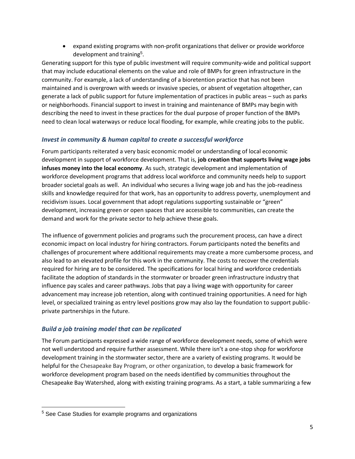expand existing programs with non-profit organizations that deliver or provide workforce development and training<sup>5</sup>.

Generating support for this type of public investment will require community-wide and political support that may include educational elements on the value and role of BMPs for green infrastructure in the community. For example, a lack of understanding of a bioretention practice that has not been maintained and is overgrown with weeds or invasive species, or absent of vegetation altogether, can generate a lack of public support for future implementation of practices in public areas – such as parks or neighborhoods. Financial support to invest in training and maintenance of BMPs may begin with describing the need to invest in these practices for the dual purpose of proper function of the BMPs need to clean local waterways or reduce local flooding, for example, while creating jobs to the public.

#### *Invest in community & human capital to create a successful workforce*

Forum participants reiterated a very basic economic model or understanding of local economic development in support of workforce development. That is, **job creation that supports living wage jobs infuses money into the local economy**. As such, strategic development and implementation of workforce development programs that address local workforce and community needs help to support broader societal goals as well. An individual who secures a living wage job and has the job-readiness skills and knowledge required for that work, has an opportunity to address poverty, unemployment and recidivism issues. Local government that adopt regulations supporting sustainable or "green" development, increasing green or open spaces that are accessible to communities, can create the demand and work for the private sector to help achieve these goals.

The influence of government policies and programs such the procurement process, can have a direct economic impact on local industry for hiring contractors. Forum participants noted the benefits and challenges of procurement where additional requirements may create a more cumbersome process, and also lead to an elevated profile for this work in the community. The costs to recover the credentials required for hiring are to be considered. The specifications for local hiring and workforce credentials facilitate the adoption of standards in the stormwater or broader green infrastructure industry that influence pay scales and career pathways. Jobs that pay a living wage with opportunity for career advancement may increase job retention, along with continued training opportunities. A need for high level, or specialized training as entry level positions grow may also lay the foundation to support publicprivate partnerships in the future.

#### *Build a job training model that can be replicated*

The Forum participants expressed a wide range of workforce development needs, some of which were not well understood and require further assessment. While there isn't a one-stop shop for workforce development training in the stormwater sector, there are a variety of existing programs. It would be helpful for the Chesapeake Bay Program, or other organization, to develop a basic framework for workforce development program based on the needs identified by communities throughout the Chesapeake Bay Watershed, along with existing training programs. As a start, a table summarizing a few

<sup>&</sup>lt;sup>5</sup> See Case Studies for example programs and organizations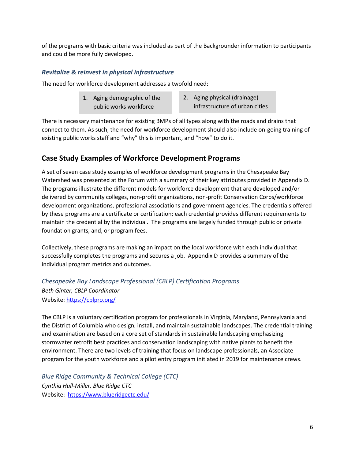of the programs with basic criteria was included as part of the Backgrounder information to participants and could be more fully developed.

#### *Revitalize & reinvest in physical infrastructure*

The need for workforce development addresses a twofold need:

- 1. Aging demographic of the public works workforce
- 2. Aging physical (drainage) infrastructure of urban cities

There is necessary maintenance for existing BMPs of all types along with the roads and drains that connect to them. As such, the need for workforce development should also include on-going training of existing public works staff and "why" this is important, and "how" to do it.

### **Case Study Examples of Workforce Development Programs**

A set of seven case study examples of workforce development programs in the Chesapeake Bay Watershed was presented at the Forum with a summary of their key attributes provided in Appendix D. The programs illustrate the different models for workforce development that are developed and/or delivered by community colleges, non-profit organizations, non-profit Conservation Corps/workforce development organizations, professional associations and government agencies. The credentials offered by these programs are a certificate or certification; each credential provides different requirements to maintain the credential by the individual. The programs are largely funded through public or private foundation grants, and, or program fees.

Collectively, these programs are making an impact on the local workforce with each individual that successfully completes the programs and secures a job. Appendix D provides a summary of the individual program metrics and outcomes.

*Chesapeake Bay Landscape Professional (CBLP) Certification Programs Beth Ginter, CBLP Coordinator* Website[: https://cblpro.org/](https://cblpro.org/)

The CBLP is a voluntary certification program for professionals in Virginia, Maryland, Pennsylvania and the District of Columbia who design, install, and maintain sustainable landscapes. The credential training and examination are based on a core set of standards in sustainable landscaping emphasizing stormwater retrofit best practices and conservation landscaping with native plants to benefit the environment. There are two levels of training that focus on landscape professionals, an Associate program for the youth workforce and a pilot entry program initiated in 2019 for maintenance crews.

*Blue Ridge Community & Technical College (CTC) Cynthia Hull-Miller, Blue Ridge CTC* Website: <https://www.blueridgectc.edu/>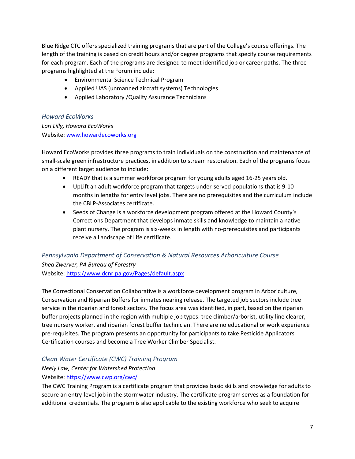Blue Ridge CTC offers specialized training programs that are part of the College's course offerings. The length of the training is based on credit hours and/or degree programs that specify course requirements for each program. Each of the programs are designed to meet identified job or career paths. The three programs highlighted at the Forum include:

- Environmental Science Technical Program
- Applied UAS (unmanned aircraft systems) Technologies
- Applied Laboratory /Quality Assurance Technicians

#### *Howard EcoWorks*

*Lori Lilly, Howard EcoWorks* Website[: www.howardecoworks.org](file:///C:/Users/jstarr/Desktop/www.howardecoworks.org)

Howard EcoWorks provides three programs to train individuals on the construction and maintenance of small-scale green infrastructure practices, in addition to stream restoration. Each of the programs focus on a different target audience to include:

- READY that is a summer workforce program for young adults aged 16-25 years old.
- UpLift an adult workforce program that targets under-served populations that is 9-10 months in lengths for entry level jobs. There are no prerequisites and the curriculum include the CBLP-Associates certificate.
- Seeds of Change is a workforce development program offered at the Howard County's Corrections Department that develops inmate skills and knowledge to maintain a native plant nursery. The program is six-weeks in length with no-prerequisites and participants receive a Landscape of Life certificate.

### *Pennsylvania Department of Conservation & Natural Resources Arboriculture Course Shea Zwerver, PA Bureau of Forestry* Website: <https://www.dcnr.pa.gov/Pages/default.aspx>

The Correctional Conservation Collaborative is a workforce development program in Arboriculture, Conservation and Riparian Buffers for inmates nearing release. The targeted job sectors include tree service in the riparian and forest sectors. The focus area was identified, in part, based on the riparian buffer projects planned in the region with multiple job types: tree climber/arborist, utility line clearer, tree nursery worker, and riparian forest buffer technician. There are no educational or work experience pre-requisites. The program presents an opportunity for participants to take Pesticide Applicators Certification courses and become a Tree Worker Climber Specialist.

#### *Clean Water Certificate (CWC) Training Program*

# *Neely Law, Center for Watershed Protection*

#### Website[: https://www.cwp.org/cwc/](https://www.cwp.org/cwc/)

The CWC Training Program is a certificate program that provides basic skills and knowledge for adults to secure an entry-level job in the stormwater industry. The certificate program serves as a foundation for additional credentials. The program is also applicable to the existing workforce who seek to acquire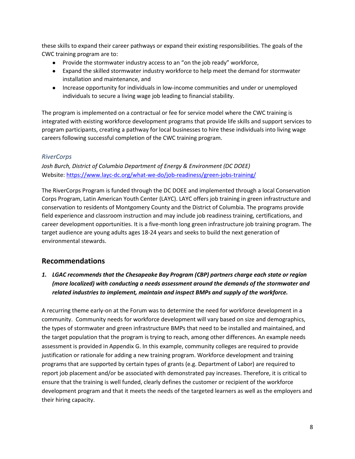these skills to expand their career pathways or expand their existing responsibilities. The goals of the CWC training program are to:

- Provide the stormwater industry access to an "on the job ready" workforce,
- Expand the skilled stormwater industry workforce to help meet the demand for stormwater installation and maintenance, and
- Increase opportunity for individuals in low-income communities and under or unemployed individuals to secure a living wage job leading to financial stability.

The program is implemented on a contractual or fee for service model where the CWC training is integrated with existing workforce development programs that provide life skills and support services to program participants, creating a pathway for local businesses to hire these individuals into living wage careers following successful completion of the CWC training program.

#### *RiverCorps*

*Josh Burch, District of Columbia Department of Energy & Environment (DC DOEE)* Website[: https://www.layc-dc.org/what-we-do/job-readiness/green-jobs-training/](https://www.layc-dc.org/what-we-do/job-readiness/green-jobs-training/)

The RiverCorps Program is funded through the DC DOEE and implemented through a local Conservation Corps Program, Latin American Youth Center (LAYC). LAYC offers job training in green infrastructure and conservation to residents of Montgomery County and the District of Columbia. The programs provide field experience and classroom instruction and may include job readiness training, certifications, and career development opportunities. It is a five-month long green infrastructure job training program. The target audience are young adults ages 18-24 years and seeks to build the next generation of environmental stewards.

### **Recommendations**

*1. LGAC recommends that the Chesapeake Bay Program (CBP) partners charge each state or region (more localized) with conducting a needs assessment around the demands of the stormwater and related industries to implement, maintain and inspect BMPs and supply of the workforce.*

A recurring theme early-on at the Forum was to determine the need for workforce development in a community. Community needs for workforce development will vary based on size and demographics, the types of stormwater and green infrastructure BMPs that need to be installed and maintained, and the target population that the program is trying to reach, among other differences. An example needs assessment is provided in Appendix G. In this example, community colleges are required to provide justification or rationale for adding a new training program. Workforce development and training programs that are supported by certain types of grants (e.g. Department of Labor) are required to report job placement and/or be associated with demonstrated pay increases. Therefore, it is critical to ensure that the training is well funded, clearly defines the customer or recipient of the workforce development program and that it meets the needs of the targeted learners as well as the employers and their hiring capacity.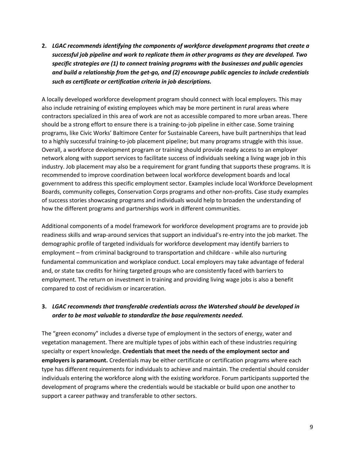**2.** *LGAC recommends identifying the components of workforce development programs that create a successful job pipeline and work to replicate them in other programs as they are developed. Two specific strategies are (1) to connect training programs with the businesses and public agencies and build a relationship from the get-go, and (2) encourage public agencies to include credentials such as certificate or certification criteria in job descriptions.*

A locally developed workforce development program should connect with local employers. This may also include retraining of existing employees which may be more pertinent in rural areas where contractors specialized in this area of work are not as accessible compared to more urban areas. There should be a strong effort to ensure there is a training-to-job pipeline in either case. Some training programs, like Civic Works' Baltimore Center for Sustainable Careers, have built partnerships that lead to a highly successful training-to-job placement pipeline; but many programs struggle with this issue. Overall, a workforce development program or training should provide ready access to an employer network along with support services to facilitate success of individuals seeking a living wage job in this industry. Job placement may also be a requirement for grant funding that supports these programs. It is recommended to improve coordination between local workforce development boards and local government to address this specific employment sector. Examples include local Workforce Development Boards, community colleges, Conservation Corps programs and other non-profits. Case study examples of success stories showcasing programs and individuals would help to broaden the understanding of how the different programs and partnerships work in different communities.

Additional components of a model framework for workforce development programs are to provide job readiness skills and wrap-around services that support an individual's re-entry into the job market. The demographic profile of targeted individuals for workforce development may identify barriers to employment – from criminal background to transportation and childcare - while also nurturing fundamental communication and workplace conduct. Local employers may take advantage of federal and, or state tax credits for hiring targeted groups who are consistently faced with barriers to employment. The return on investment in training and providing living wage jobs is also a benefit compared to cost of recidivism or incarceration.

#### **3.** *LGAC recommends that transferable credentials across the Watershed should be developed in order to be most valuable to standardize the base requirements needed.*

The "green economy" includes a diverse type of employment in the sectors of energy, water and vegetation management. There are multiple types of jobs within each of these industries requiring specialty or expert knowledge. **Credentials that meet the needs of the employment sector and employers is paramount.** Credentials may be either certificate or certification programs where each type has different requirements for individuals to achieve and maintain. The credential should consider individuals entering the workforce along with the existing workforce. Forum participants supported the development of programs where the credentials would be stackable or build upon one another to support a career pathway and transferable to other sectors.